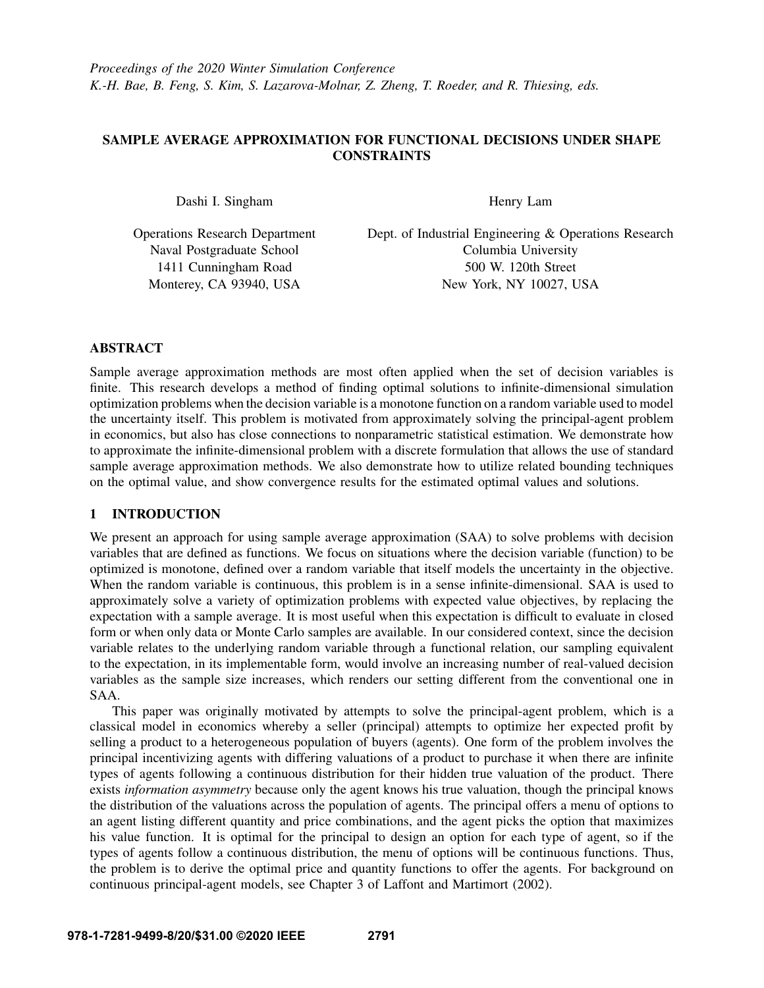# SAMPLE AVERAGE APPROXIMATION FOR FUNCTIONAL DECISIONS UNDER SHAPE CONSTRAINTS

Dashi I. Singham

Operations Research Department Naval Postgraduate School 1411 Cunningham Road Monterey, CA 93940, USA

Henry Lam

Dept. of Industrial Engineering & Operations Research Columbia University 500 W. 120th Street New York, NY 10027, USA

# ABSTRACT

Sample average approximation methods are most often applied when the set of decision variables is finite. This research develops a method of finding optimal solutions to infinite-dimensional simulation optimization problems when the decision variable is a monotone function on a random variable used to model the uncertainty itself. This problem is motivated from approximately solving the principal-agent problem in economics, but also has close connections to nonparametric statistical estimation. We demonstrate how to approximate the infinite-dimensional problem with a discrete formulation that allows the use of standard sample average approximation methods. We also demonstrate how to utilize related bounding techniques on the optimal value, and show convergence results for the estimated optimal values and solutions.

# 1 INTRODUCTION

We present an approach for using sample average approximation (SAA) to solve problems with decision variables that are defined as functions. We focus on situations where the decision variable (function) to be optimized is monotone, defined over a random variable that itself models the uncertainty in the objective. When the random variable is continuous, this problem is in a sense infinite-dimensional. SAA is used to approximately solve a variety of optimization problems with expected value objectives, by replacing the expectation with a sample average. It is most useful when this expectation is difficult to evaluate in closed form or when only data or Monte Carlo samples are available. In our considered context, since the decision variable relates to the underlying random variable through a functional relation, our sampling equivalent to the expectation, in its implementable form, would involve an increasing number of real-valued decision variables as the sample size increases, which renders our setting different from the conventional one in SAA.

This paper was originally motivated by attempts to solve the principal-agent problem, which is a classical model in economics whereby a seller (principal) attempts to optimize her expected profit by selling a product to a heterogeneous population of buyers (agents). One form of the problem involves the principal incentivizing agents with differing valuations of a product to purchase it when there are infinite types of agents following a continuous distribution for their hidden true valuation of the product. There exists *information asymmetry* because only the agent knows his true valuation, though the principal knows the distribution of the valuations across the population of agents. The principal offers a menu of options to an agent listing different quantity and price combinations, and the agent picks the option that maximizes his value function. It is optimal for the principal to design an option for each type of agent, so if the types of agents follow a continuous distribution, the menu of options will be continuous functions. Thus, the problem is to derive the optimal price and quantity functions to offer the agents. For background on continuous principal-agent models, see Chapter 3 of [Laffont and Martimort \(2002\).](#page-8-0)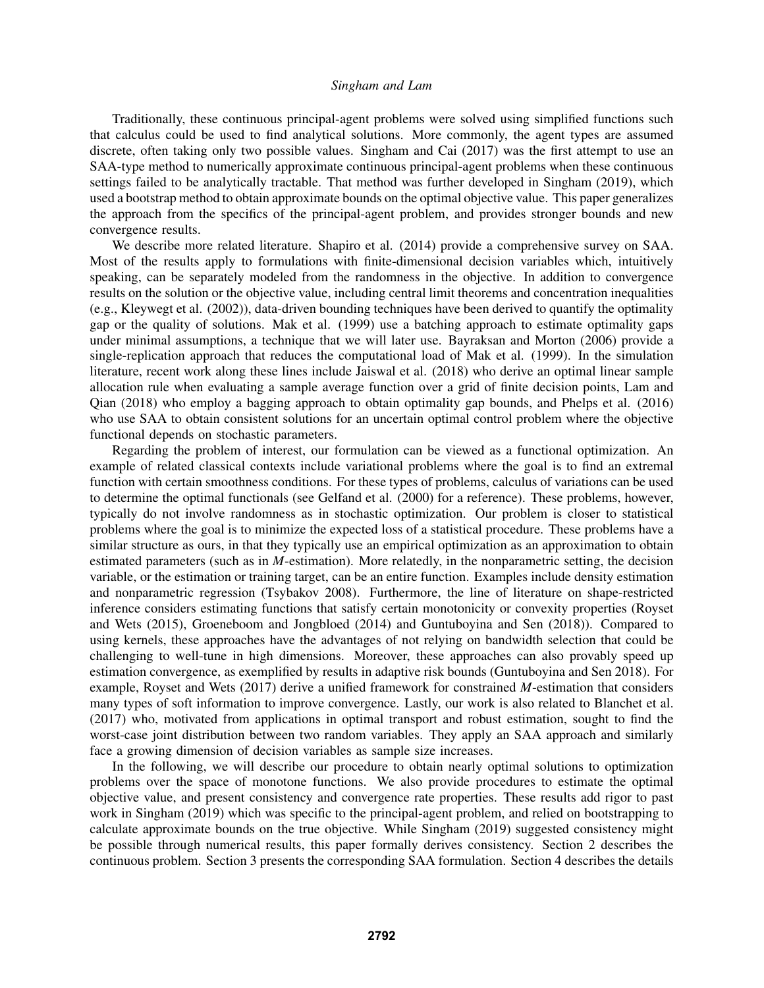Traditionally, these continuous principal-agent problems were solved using simplified functions such that calculus could be used to find analytical solutions. More commonly, the agent types are assumed discrete, often taking only two possible values. [Singham and Cai \(2017\)](#page-8-1) was the first attempt to use an SAA-type method to numerically approximate continuous principal-agent problems when these continuous settings failed to be analytically tractable. That method was further developed in [Singham \(2019\),](#page-8-2) which used a bootstrap method to obtain approximate bounds on the optimal objective value. This paper generalizes the approach from the specifics of the principal-agent problem, and provides stronger bounds and new convergence results.

We describe more related literature. [Shapiro et al. \(2014\)](#page-8-3) provide a comprehensive survey on SAA. Most of the results apply to formulations with finite-dimensional decision variables which, intuitively speaking, can be separately modeled from the randomness in the objective. In addition to convergence results on the solution or the objective value, including central limit theorems and concentration inequalities (e.g., [Kleywegt et al. \(2002\)\)](#page-8-4), data-driven bounding techniques have been derived to quantify the optimality gap or the quality of solutions. [Mak et al. \(1999\)](#page-8-5) use a batching approach to estimate optimality gaps under minimal assumptions, a technique that we will later use. [Bayraksan and Morton \(2006\)](#page-7-0) provide a single-replication approach that reduces the computational load of [Mak et al. \(1999\).](#page-8-5) In the simulation literature, recent work along these lines include [Jaiswal et al. \(2018\)](#page-7-1) who derive an optimal linear sample allocation rule when evaluating a sample average function over a grid of finite decision points, [Lam and](#page-8-6) [Qian \(2018\)](#page-8-6) who employ a bagging approach to obtain optimality gap bounds, and [Phelps et al. \(2016\)](#page-8-7) who use SAA to obtain consistent solutions for an uncertain optimal control problem where the objective functional depends on stochastic parameters.

Regarding the problem of interest, our formulation can be viewed as a functional optimization. An example of related classical contexts include variational problems where the goal is to find an extremal function with certain smoothness conditions. For these types of problems, calculus of variations can be used to determine the optimal functionals (see [Gelfand et al. \(2000\)](#page-7-2) for a reference). These problems, however, typically do not involve randomness as in stochastic optimization. Our problem is closer to statistical problems where the goal is to minimize the expected loss of a statistical procedure. These problems have a similar structure as ours, in that they typically use an empirical optimization as an approximation to obtain estimated parameters (such as in *M*-estimation). More relatedly, in the nonparametric setting, the decision variable, or the estimation or training target, can be an entire function. Examples include density estimation and nonparametric regression [\(Tsybakov 2008\)](#page-8-8). Furthermore, the line of literature on shape-restricted inference considers estimating functions that satisfy certain monotonicity or convexity properties [\(Royset](#page-8-9) [and Wets \(2015\),](#page-8-9) [Groeneboom and Jongbloed \(2014\)](#page-7-3) and [Guntuboyina and Sen \(2018\)\)](#page-7-4). Compared to using kernels, these approaches have the advantages of not relying on bandwidth selection that could be challenging to well-tune in high dimensions. Moreover, these approaches can also provably speed up estimation convergence, as exemplified by results in adaptive risk bounds [\(Guntuboyina and Sen 2018\)](#page-7-4). For example, [Royset and Wets \(2017\)](#page-8-10) derive a unified framework for constrained *M*-estimation that considers many types of soft information to improve convergence. Lastly, our work is also related to [Blanchet et al.](#page-7-5) [\(2017\)](#page-7-5) who, motivated from applications in optimal transport and robust estimation, sought to find the worst-case joint distribution between two random variables. They apply an SAA approach and similarly face a growing dimension of decision variables as sample size increases.

In the following, we will describe our procedure to obtain nearly optimal solutions to optimization problems over the space of monotone functions. We also provide procedures to estimate the optimal objective value, and present consistency and convergence rate properties. These results add rigor to past work in [Singham \(2019\)](#page-8-2) which was specific to the principal-agent problem, and relied on bootstrapping to calculate approximate bounds on the true objective. While [Singham \(2019\)](#page-8-2) suggested consistency might be possible through numerical results, this paper formally derives consistency. Section [2](#page-2-0) describes the continuous problem. Section [3](#page-2-1) presents the corresponding SAA formulation. Section [4](#page-3-0) describes the details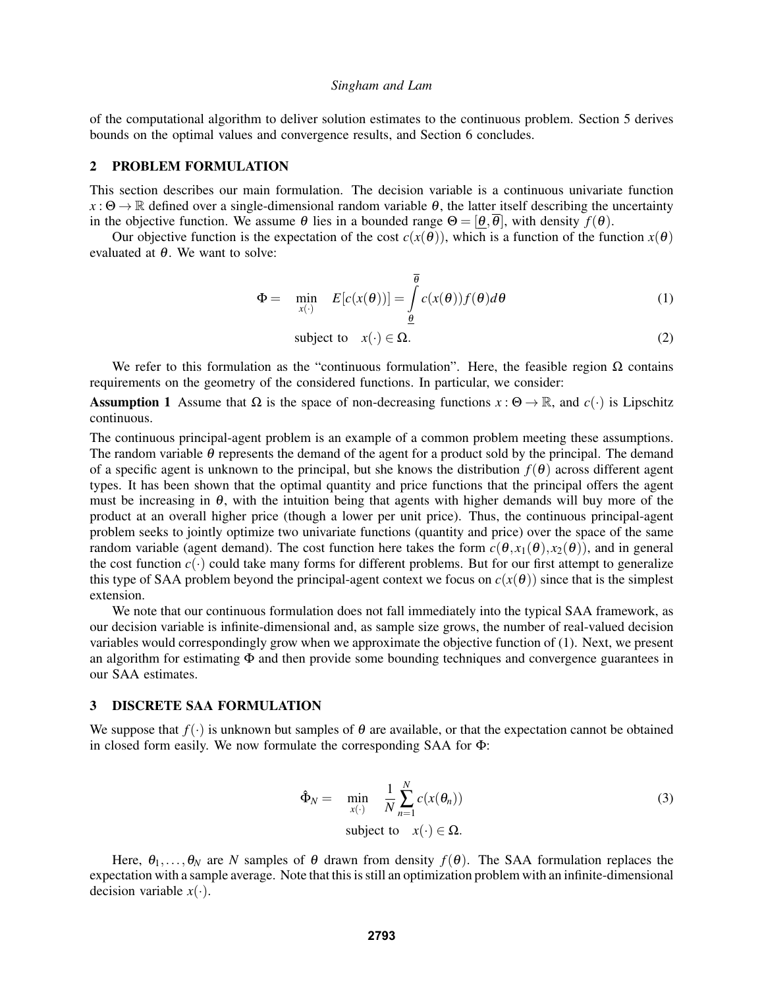of the computational algorithm to deliver solution estimates to the continuous problem. Section [5](#page-4-0) derives bounds on the optimal values and convergence results, and Section [6](#page-7-6) concludes.

# <span id="page-2-0"></span>2 PROBLEM FORMULATION

This section describes our main formulation. The decision variable is a continuous univariate function  $x : \Theta \to \mathbb{R}$  defined over a single-dimensional random variable  $\theta$ , the latter itself describing the uncertainty in the objective function. We assume  $\theta$  lies in a bounded range  $\Theta = [\theta, \overline{\theta}]$ , with density  $f(\theta)$ .

Our objective function is the expectation of the cost  $c(x(\theta))$ , which is a function of the function  $x(\theta)$ evaluated at  $\theta$ . We want to solve:

$$
\Phi = \min_{x(\cdot)} E[c(x(\theta))] = \int_{\theta}^{\overline{\theta}} c(x(\theta)) f(\theta) d\theta \tag{1}
$$

<span id="page-2-4"></span><span id="page-2-2"></span>subject to 
$$
x(\cdot) \in \Omega
$$
. (2)

We refer to this formulation as the "continuous formulation". Here, the feasible region  $\Omega$  contains requirements on the geometry of the considered functions. In particular, we consider:

<span id="page-2-5"></span>**Assumption 1** Assume that  $\Omega$  is the space of non-decreasing functions  $x : \Theta \to \mathbb{R}$ , and  $c(\cdot)$  is Lipschitz continuous.

The continuous principal-agent problem is an example of a common problem meeting these assumptions. The random variable  $\theta$  represents the demand of the agent for a product sold by the principal. The demand of a specific agent is unknown to the principal, but she knows the distribution  $f(\theta)$  across different agent types. It has been shown that the optimal quantity and price functions that the principal offers the agent must be increasing in  $\theta$ , with the intuition being that agents with higher demands will buy more of the product at an overall higher price (though a lower per unit price). Thus, the continuous principal-agent problem seeks to jointly optimize two univariate functions (quantity and price) over the space of the same random variable (agent demand). The cost function here takes the form  $c(\theta, x_1(\theta), x_2(\theta))$ , and in general the cost function  $c(\cdot)$  could take many forms for different problems. But for our first attempt to generalize this type of SAA problem beyond the principal-agent context we focus on  $c(x(\theta))$  since that is the simplest extension.

We note that our continuous formulation does not fall immediately into the typical SAA framework, as our decision variable is infinite-dimensional and, as sample size grows, the number of real-valued decision variables would correspondingly grow when we approximate the objective function of [\(1\)](#page-2-2). Next, we present an algorithm for estimating Φ and then provide some bounding techniques and convergence guarantees in our SAA estimates.

# <span id="page-2-1"></span>3 DISCRETE SAA FORMULATION

We suppose that  $f(\cdot)$  is unknown but samples of  $\theta$  are available, or that the expectation cannot be obtained in closed form easily. We now formulate the corresponding SAA for Φ:

<span id="page-2-3"></span>
$$
\hat{\Phi}_N = \min_{x(\cdot)} \frac{1}{N} \sum_{n=1}^N c(x(\theta_n))
$$
\nsubject to

\n
$$
x(\cdot) \in \Omega.
$$
\n(3)

Here,  $\theta_1,\ldots,\theta_N$  are *N* samples of  $\theta$  drawn from density  $f(\theta)$ . The SAA formulation replaces the expectation with a sample average. Note that this is still an optimization problem with an infinite-dimensional decision variable  $x(\cdot)$ .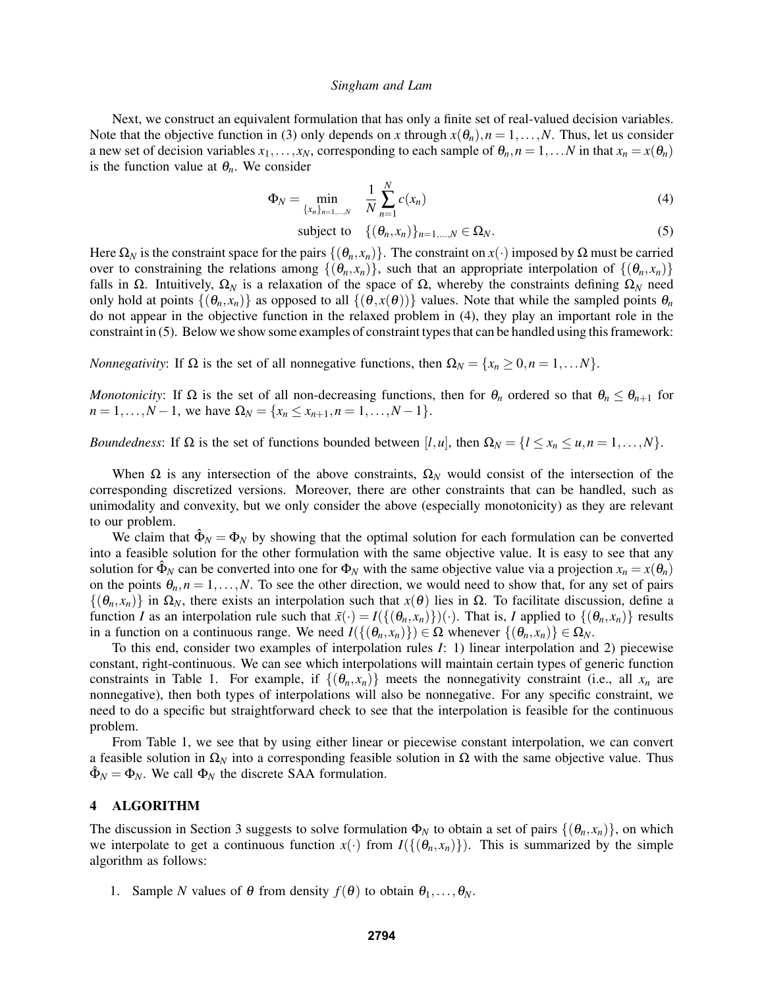Next, we construct an equivalent formulation that has only a finite set of real-valued decision variables. Note that the objective function in [\(3\)](#page-2-3) only depends on *x* through  $x(\theta_n)$ ,  $n = 1, \ldots, N$ . Thus, let us consider a new set of decision variables  $x_1, \ldots, x_N$ , corresponding to each sample of  $\theta_n$ ,  $n = 1, \ldots N$  in that  $x_n = x(\theta_n)$ is the function value at  $\theta_n$ . We consider

$$
\Phi_N = \min_{\{x_n\}_{n=1,\dots,N}} \quad \frac{1}{N} \sum_{n=1}^N c(x_n) \tag{4}
$$

<span id="page-3-2"></span><span id="page-3-1"></span>subject to 
$$
\{(\theta_n, x_n)\}_{n=1,\dots,N} \in \Omega_N.
$$
 (5)

Here  $\Omega_N$  is the constraint space for the pairs  $\{(\theta_n, x_n)\}$ . The constraint on  $x(\cdot)$  imposed by  $\Omega$  must be carried over to constraining the relations among  $\{(\theta_n, x_n)\}$ , such that an appropriate interpolation of  $\{(\theta_n, x_n)\}$ falls in Ω. Intuitively,  $\Omega_N$  is a relaxation of the space of Ω, whereby the constraints defining  $\Omega_N$  need only hold at points  $\{(\theta_n, x_n)\}$  as opposed to all  $\{(\theta, x(\theta))\}$  values. Note that while the sampled points  $\theta_n$ do not appear in the objective function in the relaxed problem in [\(4\)](#page-3-1), they play an important role in the constraint in [\(5\)](#page-3-2). Below we show some examples of constraint types that can be handled using this framework:

*Nonnegativity*: If  $\Omega$  is the set of all nonnegative functions, then  $\Omega_N = \{x_n \geq 0, n = 1, \ldots N\}$ .

*Monotonicity*: If  $\Omega$  is the set of all non-decreasing functions, then for  $\theta_n$  ordered so that  $\theta_n \leq \theta_{n+1}$  for  $n = 1, \ldots, N - 1$ , we have  $\Omega_N = \{x_n \le x_{n+1}, n = 1, \ldots, N - 1\}$ .

*Boundedness*: If  $\Omega$  is the set of functions bounded between [*l*,*u*], then  $\Omega_N = \{l \le x_n \le u, n = 1, ..., N\}$ .

When  $\Omega$  is any intersection of the above constraints,  $\Omega_N$  would consist of the intersection of the corresponding discretized versions. Moreover, there are other constraints that can be handled, such as unimodality and convexity, but we only consider the above (especially monotonicity) as they are relevant to our problem.

We claim that  $\hat{\Phi}_N = \Phi_N$  by showing that the optimal solution for each formulation can be converted into a feasible solution for the other formulation with the same objective value. It is easy to see that any solution for  $\hat{\Phi}_N$  can be converted into one for  $\Phi_N$  with the same objective value via a projection  $x_n = x(\theta_n)$ on the points  $\theta_n$ ,  $n = 1, \ldots, N$ . To see the other direction, we would need to show that, for any set of pairs  $\{(\theta_n, x_n)\}\$ in  $\Omega_N$ , there exists an interpolation such that  $x(\theta)$  lies in  $\Omega$ . To facilitate discussion, define a function *I* as an interpolation rule such that  $\tilde{x}(\cdot) = I(\{(\theta_n, x_n)\})(\cdot)$ . That is, *I* applied to  $\{(\theta_n, x_n)\}$  results in a function on a continuous range. We need  $I(\{\theta_n, x_n\}) \in \Omega$  whenever  $\{\theta_n, x_n\} \in \Omega_N$ .

To this end, consider two examples of interpolation rules *I*: 1) linear interpolation and 2) piecewise constant, right-continuous. We can see which interpolations will maintain certain types of generic function constraints in Table [1.](#page-4-1) For example, if  $\{(\theta_n, x_n)\}$  meets the nonnegativity constraint (i.e., all  $x_n$  are nonnegative), then both types of interpolations will also be nonnegative. For any specific constraint, we need to do a specific but straightforward check to see that the interpolation is feasible for the continuous problem.

From Table [1,](#page-4-1) we see that by using either linear or piecewise constant interpolation, we can convert a feasible solution in  $\Omega_N$  into a corresponding feasible solution in  $\Omega$  with the same objective value. Thus  $\hat{\Phi}_N = \Phi_N$ . We call  $\Phi_N$  the discrete SAA formulation.

# <span id="page-3-0"></span>4 ALGORITHM

The discussion in Section [3](#page-2-1) suggests to solve formulation  $\Phi_N$  to obtain a set of pairs  $\{(\theta_n, x_n)\}$ , on which we interpolate to get a continuous function  $x(\cdot)$  from  $I(\{(θ<sub>n</sub>, x<sub>n</sub>)\})$ . This is summarized by the simple algorithm as follows:

1. Sample *N* values of  $\theta$  from density  $f(\theta)$  to obtain  $\theta_1, \ldots, \theta_N$ .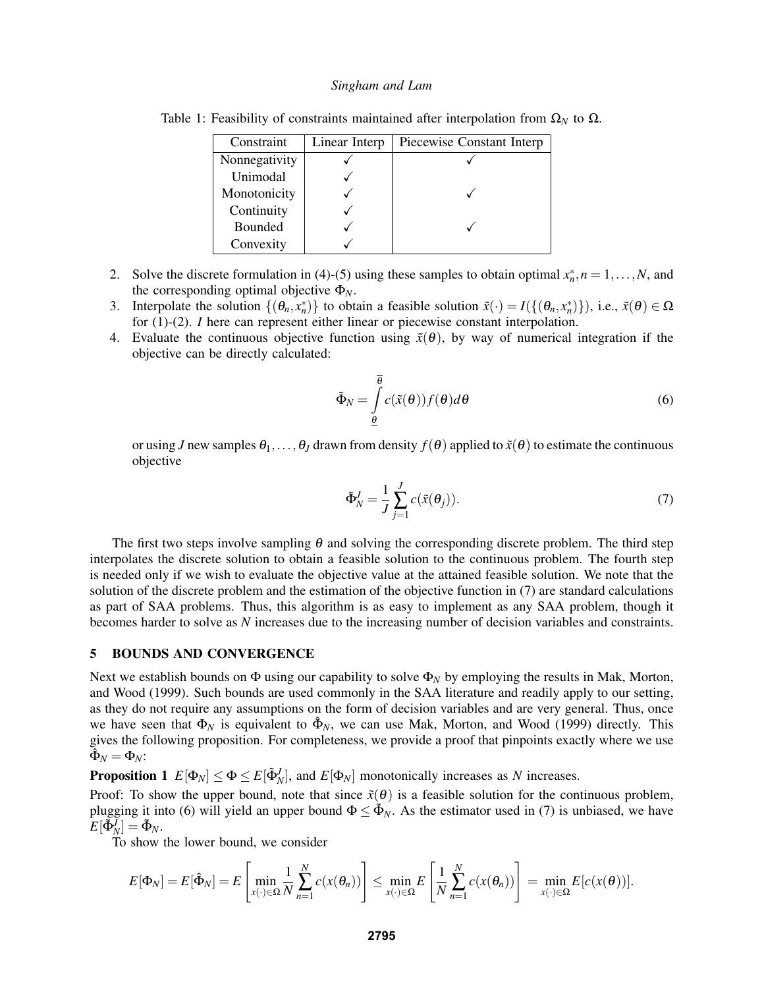<span id="page-4-1"></span>

| Constraint    | Linear Interp | Piecewise Constant Interp |
|---------------|---------------|---------------------------|
| Nonnegativity |               |                           |
| Unimodal      |               |                           |
| Monotonicity  |               |                           |
| Continuity    |               |                           |
| Bounded       |               |                           |
| Convexity     |               |                           |

Table 1: Feasibility of constraints maintained after interpolation from  $\Omega_N$  to  $\Omega$ .

- 2. Solve the discrete formulation in [\(4\)](#page-3-1)-[\(5\)](#page-3-2) using these samples to obtain optimal  $x_n^*$ ,  $n = 1, ..., N$ , and the corresponding optimal objective Φ*N*.
- 3. Interpolate the solution  $\{(\theta_n, x_n^*)\}$  to obtain a feasible solution  $\tilde{x}(\cdot) = I(\{(\theta_n, x_n^*)\})$ , i.e.,  $\tilde{x}(\theta) \in \Omega$ for [\(1\)](#page-2-2)-[\(2\)](#page-2-4). *I* here can represent either linear or piecewise constant interpolation.
- 4. Evaluate the continuous objective function using  $\tilde{x}(\theta)$ , by way of numerical integration if the objective can be directly calculated:

<span id="page-4-3"></span>
$$
\tilde{\Phi}_N = \int\limits_{\underline{\theta}}^{\overline{\theta}} c(\tilde{x}(\theta)) f(\theta) d\theta \tag{6}
$$

or using *J* new samples  $\theta_1, \ldots, \theta_J$  drawn from density  $f(\theta)$  applied to  $\tilde{x}(\theta)$  to estimate the continuous objective

<span id="page-4-2"></span>
$$
\tilde{\Phi}_N^J = \frac{1}{J} \sum_{j=1}^J c(\tilde{x}(\theta_j)).
$$
\n(7)

The first two steps involve sampling  $\theta$  and solving the corresponding discrete problem. The third step interpolates the discrete solution to obtain a feasible solution to the continuous problem. The fourth step is needed only if we wish to evaluate the objective value at the attained feasible solution. We note that the solution of the discrete problem and the estimation of the objective function in [\(7\)](#page-4-2) are standard calculations as part of SAA problems. Thus, this algorithm is as easy to implement as any SAA problem, though it becomes harder to solve as *N* increases due to the increasing number of decision variables and constraints.

## <span id="page-4-0"></span>5 BOUNDS AND CONVERGENCE

Next we establish bounds on  $\Phi$  using our capability to solve  $\Phi_N$  by employing the results in [Mak, Morton,](#page-8-5) [and Wood \(1999\).](#page-8-5) Such bounds are used commonly in the SAA literature and readily apply to our setting, as they do not require any assumptions on the form of decision variables and are very general. Thus, once we have seen that  $\Phi_N$  is equivalent to  $\hat{\Phi}_N$ , we can use [Mak, Morton, and Wood \(1999\)](#page-8-5) directly. This gives the following proposition. For completeness, we provide a proof that pinpoints exactly where we use  $\tilde{\hat{\Phi}}_N = \Phi_N$ :

<span id="page-4-4"></span>**Proposition 1**  $E[\Phi_N] \le \Phi \le E[\Phi_N^J]$ , and  $E[\Phi_N]$  monotonically increases as *N* increases.

Proof: To show the upper bound, note that since  $\tilde{x}(\theta)$  is a feasible solution for the continuous problem, plugging it into [\(6\)](#page-4-3) will yield an upper bound  $\Phi \leq \tilde{\Phi}_N$ . As the estimator used in [\(7\)](#page-4-2) is unbiased, we have  $E[\tilde{\Phi}_N^{\bar{J}}] = \tilde{\Phi}_N.$ 

To show the lower bound, we consider

$$
E[\Phi_N] = E[\hat{\Phi}_N] = E\left[\min_{x(\cdot) \in \Omega} \frac{1}{N} \sum_{n=1}^N c(x(\theta_n))\right] \le \min_{x(\cdot) \in \Omega} E\left[\frac{1}{N} \sum_{n=1}^N c(x(\theta_n))\right] = \min_{x(\cdot) \in \Omega} E[c(x(\theta))].
$$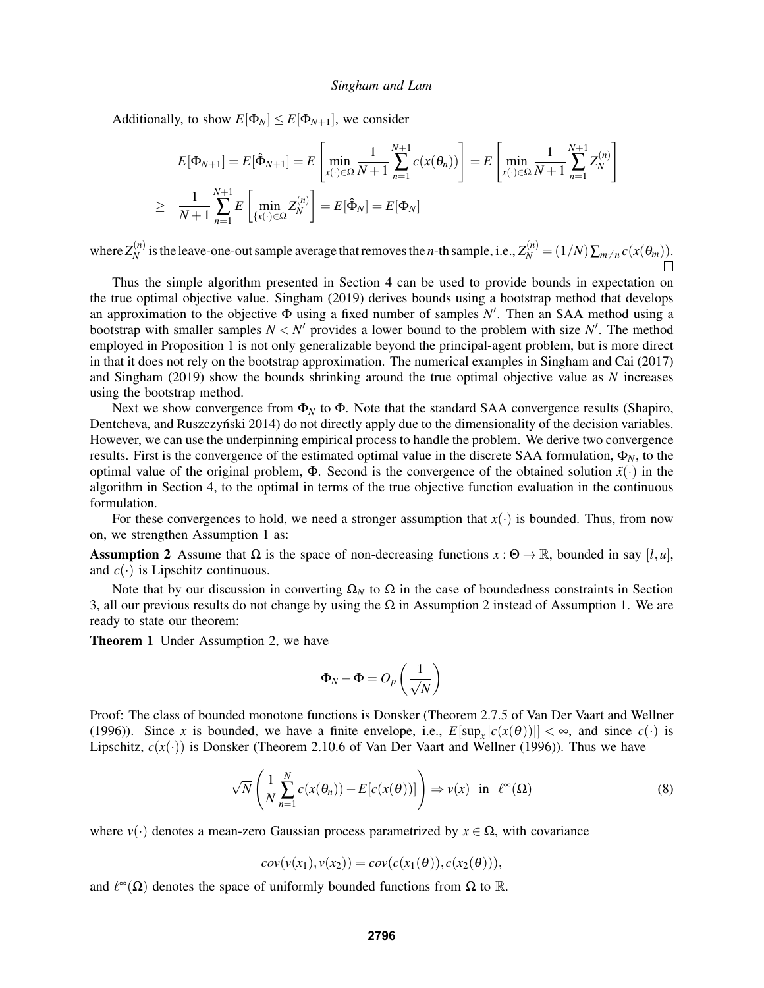Additionally, to show  $E[\Phi_N] \leq E[\Phi_{N+1}]$ , we consider

$$
E[\Phi_{N+1}] = E[\hat{\Phi}_{N+1}] = E\left[\min_{x(\cdot) \in \Omega} \frac{1}{N+1} \sum_{n=1}^{N+1} c(x(\theta_n))\right] = E\left[\min_{x(\cdot) \in \Omega} \frac{1}{N+1} \sum_{n=1}^{N+1} Z_N^{(n)}\right]
$$
  
\n
$$
\geq \frac{1}{N+1} \sum_{n=1}^{N+1} E\left[\min_{\{x(\cdot) \in \Omega} Z_N^{(n)}\right] = E[\hat{\Phi}_N] = E[\Phi_N]
$$

where  $Z_N^{(n)}$ *N* is the leave-one-out sample average that removes the *n*-th sample, i.e.,  $Z_N^{(n)} = (1/N) \sum_{m \neq n} c(x(\theta_m))$ .

Thus the simple algorithm presented in Section [4](#page-3-0) can be used to provide bounds in expectation on the true optimal objective value. [Singham \(2019\)](#page-8-2) derives bounds using a bootstrap method that develops an approximation to the objective  $\Phi$  using a fixed number of samples N'. Then an SAA method using a bootstrap with smaller samples  $N < N'$  provides a lower bound to the problem with size  $N'$ . The method employed in Proposition [1](#page-4-4) is not only generalizable beyond the principal-agent problem, but is more direct in that it does not rely on the bootstrap approximation. The numerical examples in [Singham and Cai \(2017\)](#page-8-1) and [Singham \(2019\)](#page-8-2) show the bounds shrinking around the true optimal objective value as *N* increases using the bootstrap method.

Next we show convergence from  $\Phi_N$  to  $\Phi$ . Note that the standard SAA convergence results [\(Shapiro,](#page-8-3) Dentcheva, and Ruszczyński 2014) do not directly apply due to the dimensionality of the decision variables. However, we can use the underpinning empirical process to handle the problem. We derive two convergence results. First is the convergence of the estimated optimal value in the discrete SAA formulation,  $\Phi_N$ , to the optimal value of the original problem,  $\Phi$ . Second is the convergence of the obtained solution  $\tilde{x}(\cdot)$  in the algorithm in Section [4,](#page-3-0) to the optimal in terms of the true objective function evaluation in the continuous formulation.

For these convergences to hold, we need a stronger assumption that  $x(\cdot)$  is bounded. Thus, from now on, we strengthen Assumption [1](#page-2-5) as:

<span id="page-5-0"></span>Assumption 2 Assume that  $\Omega$  is the space of non-decreasing functions  $x : \Theta \to \mathbb{R}$ , bounded in say [*l*,*u*], and  $c(\cdot)$  is Lipschitz continuous.

Note that by our discussion in converting  $\Omega_N$  to  $\Omega$  in the case of boundedness constraints in Section [3,](#page-2-1) all our previous results do not change by using the  $\Omega$  in Assumption [2](#page-5-0) instead of Assumption [1.](#page-2-5) We are ready to state our theorem:

<span id="page-5-2"></span>**Theorem 1** Under Assumption [2,](#page-5-0) we have

$$
\Phi_N - \Phi = O_p\left(\frac{1}{\sqrt{N}}\right)
$$

Proof: The class of bounded monotone functions is Donsker (Theorem 2.7.5 of [Van Der Vaart and Wellner](#page-8-11) [\(1996\)\)](#page-8-11). Since *x* is bounded, we have a finite envelope, i.e.,  $E[\sup_x |c(x(\theta))|] < \infty$ , and since  $c(\cdot)$  is Lipschitz,  $c(x(\cdot))$  is Donsker (Theorem 2.10.6 of [Van Der Vaart and Wellner \(1996\)\)](#page-8-11). Thus we have

<span id="page-5-1"></span>
$$
\sqrt{N}\left(\frac{1}{N}\sum_{n=1}^{N}c(x(\theta_n)) - E[c(x(\theta))]\right) \Rightarrow v(x) \text{ in } \ell^{\infty}(\Omega)
$$
\n(8)

where  $v(\cdot)$  denotes a mean-zero Gaussian process parametrized by  $x \in \Omega$ , with covariance

$$
cov(v(x_1), v(x_2)) = cov(c(x_1(\theta)), c(x_2(\theta))),
$$

and  $\ell^{\infty}(\Omega)$  denotes the space of uniformly bounded functions from  $\Omega$  to  $\mathbb{R}$ .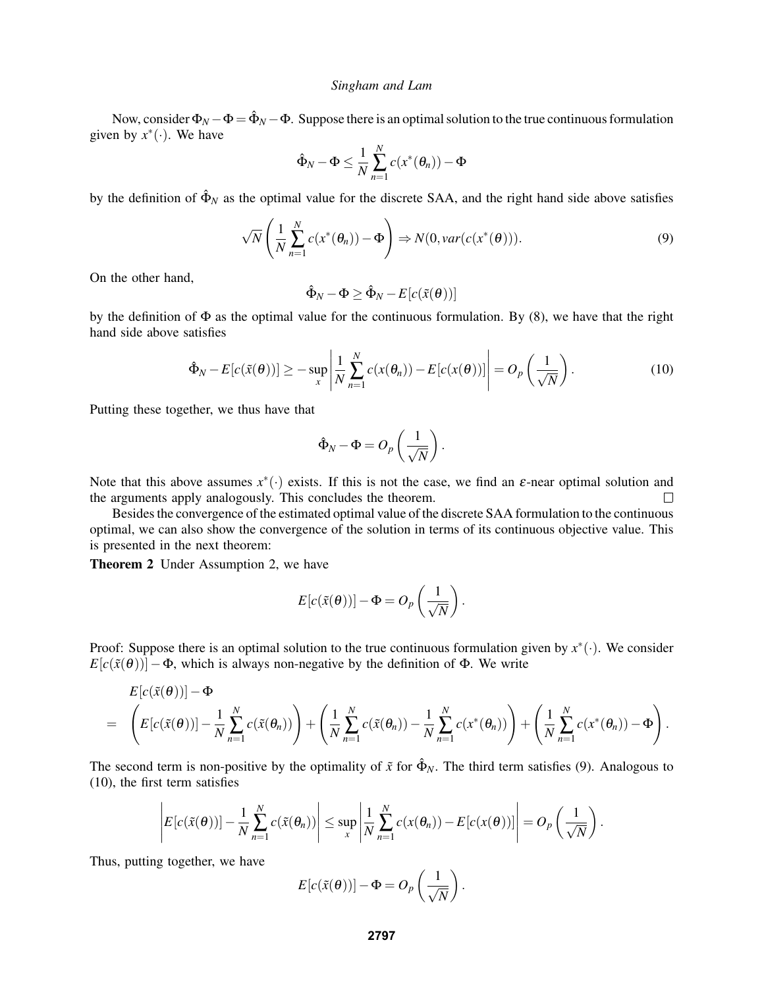Now, consider  $\Phi_N - \Phi = \hat{\Phi}_N - \Phi$ . Suppose there is an optimal solution to the true continuous formulation given by  $x^*(\cdot)$ . We have

$$
\hat{\Phi}_N - \Phi \le \frac{1}{N} \sum_{n=1}^N c(x^*(\theta_n)) - \Phi
$$

by the definition of  $\hat{\Phi}_N$  as the optimal value for the discrete SAA, and the right hand side above satisfies

<span id="page-6-0"></span>
$$
\sqrt{N}\left(\frac{1}{N}\sum_{n=1}^{N}c(x^*(\theta_n))-\Phi\right) \Rightarrow N(0, var(c(x^*(\theta))).
$$
\n(9)

On the other hand,

$$
\hat{\Phi}_N - \Phi \ge \hat{\Phi}_N - E[c(\tilde{x}(\theta))]
$$

by the definition of  $\Phi$  as the optimal value for the continuous formulation. By [\(8\)](#page-5-1), we have that the right hand side above satisfies

<span id="page-6-1"></span>
$$
\hat{\Phi}_N - E[c(\tilde{x}(\theta))] \ge - \sup_x \left| \frac{1}{N} \sum_{n=1}^N c(x(\theta_n)) - E[c(x(\theta))] \right| = O_p\left(\frac{1}{\sqrt{N}}\right).
$$
\n(10)

Putting these together, we thus have that

$$
\hat{\Phi}_N - \Phi = O_p\left(\frac{1}{\sqrt{N}}\right).
$$

Note that this above assumes  $x^*(\cdot)$  exists. If this is not the case, we find an  $\varepsilon$ -near optimal solution and the arguments apply analogously. This concludes the theorem.  $\Box$ 

Besides the convergence of the estimated optimal value of the discrete SAA formulation to the continuous optimal, we can also show the convergence of the solution in terms of its continuous objective value. This is presented in the next theorem:

<span id="page-6-2"></span>Theorem 2 Under Assumption [2,](#page-5-0) we have

$$
E[c(\tilde{x}(\theta))] - \Phi = O_p\left(\frac{1}{\sqrt{N}}\right).
$$

Proof: Suppose there is an optimal solution to the true continuous formulation given by  $x^*(\cdot)$ . We consider  $E[c(\tilde{x}(\theta))] - \Phi$ , which is always non-negative by the definition of  $\Phi$ . We write

$$
E[c(\tilde{x}(\theta))] - \Phi
$$
  
=  $\left(E[c(\tilde{x}(\theta))] - \frac{1}{N} \sum_{n=1}^{N} c(\tilde{x}(\theta_n))\right) + \left(\frac{1}{N} \sum_{n=1}^{N} c(\tilde{x}(\theta_n)) - \frac{1}{N} \sum_{n=1}^{N} c(x^*(\theta_n))\right) + \left(\frac{1}{N} \sum_{n=1}^{N} c(x^*(\theta_n)) - \Phi\right).$ 

The second term is non-positive by the optimality of  $\tilde{x}$  for  $\hat{\Phi}_N$ . The third term satisfies [\(9\)](#page-6-0). Analogous to [\(10\)](#page-6-1), the first term satisfies

$$
\left|E[c(\tilde{x}(\boldsymbol{\theta}))]-\frac{1}{N}\sum_{n=1}^N c(\tilde{x}(\boldsymbol{\theta}_n))\right|\leq \sup_x \left|\frac{1}{N}\sum_{n=1}^N c(x(\boldsymbol{\theta}_n))-E[c(x(\boldsymbol{\theta}))]\right|=O_p\left(\frac{1}{\sqrt{N}}\right).
$$

Thus, putting together, we have

$$
E[c(\tilde{x}(\theta))] - \Phi = O_p\left(\frac{1}{\sqrt{N}}\right).
$$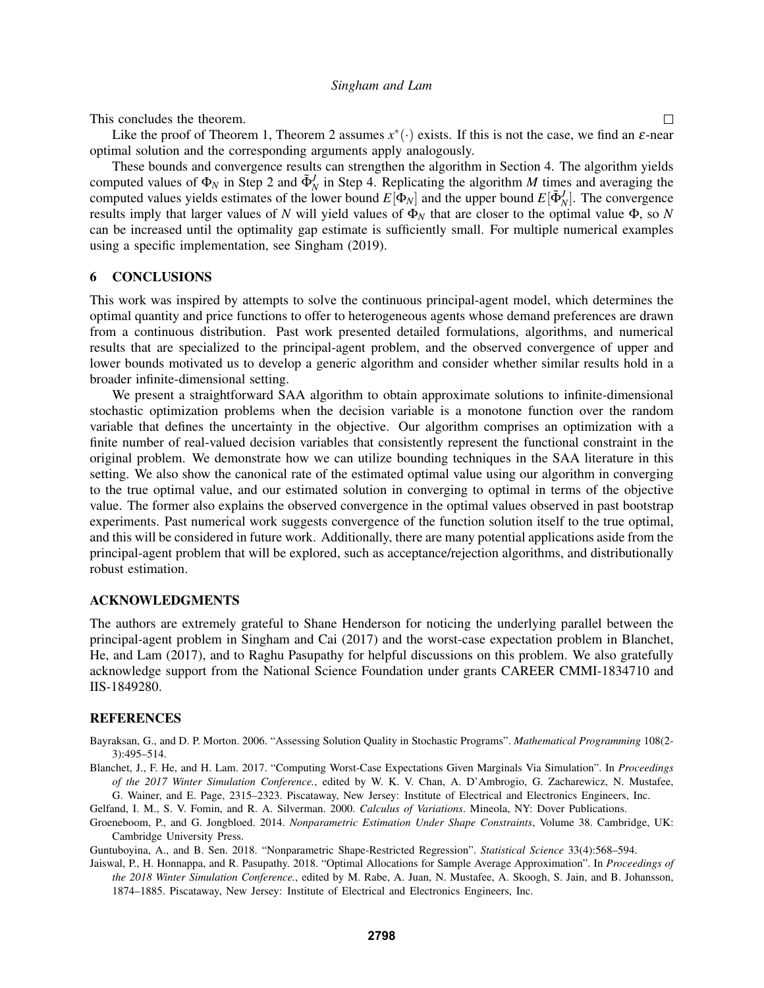This concludes the theorem.

Like the proof of Theorem [1,](#page-5-2) Theorem [2](#page-6-2) assumes  $x^*(\cdot)$  exists. If this is not the case, we find an  $\varepsilon$ -near optimal solution and the corresponding arguments apply analogously.

These bounds and convergence results can strengthen the algorithm in Section [4.](#page-3-0) The algorithm yields computed values of  $\Phi_N$  in Step 2 and  $\tilde{\Phi}_N^J$  in Step 4. Replicating the algorithm *M* times and averaging the computed values yields estimates of the lower bound  $E[\Phi_N]$  and the upper bound  $E[\Phi_N^J]$ . The convergence results imply that larger values of *N* will yield values of  $\Phi_N$  that are closer to the optimal value  $\Phi$ , so *N* can be increased until the optimality gap estimate is sufficiently small. For multiple numerical examples using a specific implementation, see [Singham \(2019\).](#page-8-2)

## <span id="page-7-6"></span>6 CONCLUSIONS

This work was inspired by attempts to solve the continuous principal-agent model, which determines the optimal quantity and price functions to offer to heterogeneous agents whose demand preferences are drawn from a continuous distribution. Past work presented detailed formulations, algorithms, and numerical results that are specialized to the principal-agent problem, and the observed convergence of upper and lower bounds motivated us to develop a generic algorithm and consider whether similar results hold in a broader infinite-dimensional setting.

We present a straightforward SAA algorithm to obtain approximate solutions to infinite-dimensional stochastic optimization problems when the decision variable is a monotone function over the random variable that defines the uncertainty in the objective. Our algorithm comprises an optimization with a finite number of real-valued decision variables that consistently represent the functional constraint in the original problem. We demonstrate how we can utilize bounding techniques in the SAA literature in this setting. We also show the canonical rate of the estimated optimal value using our algorithm in converging to the true optimal value, and our estimated solution in converging to optimal in terms of the objective value. The former also explains the observed convergence in the optimal values observed in past bootstrap experiments. Past numerical work suggests convergence of the function solution itself to the true optimal, and this will be considered in future work. Additionally, there are many potential applications aside from the principal-agent problem that will be explored, such as acceptance/rejection algorithms, and distributionally robust estimation.

### ACKNOWLEDGMENTS

The authors are extremely grateful to Shane Henderson for noticing the underlying parallel between the principal-agent problem in [Singham and Cai \(2017\)](#page-8-1) and the worst-case expectation problem in [Blanchet,](#page-7-5) [He, and Lam \(2017\),](#page-7-5) and to Raghu Pasupathy for helpful discussions on this problem. We also gratefully acknowledge support from the National Science Foundation under grants CAREER CMMI-1834710 and IIS-1849280.

### **REFERENCES**

- <span id="page-7-0"></span>Bayraksan, G., and D. P. Morton. 2006. "Assessing Solution Quality in Stochastic Programs". *Mathematical Programming* 108(2- 3):495–514.
- <span id="page-7-5"></span>Blanchet, J., F. He, and H. Lam. 2017. "Computing Worst-Case Expectations Given Marginals Via Simulation". In *Proceedings of the 2017 Winter Simulation Conference.*, edited by W. K. V. Chan, A. D'Ambrogio, G. Zacharewicz, N. Mustafee, G. Wainer, and E. Page, 2315–2323. Piscataway, New Jersey: Institute of Electrical and Electronics Engineers, Inc.
- <span id="page-7-2"></span>Gelfand, I. M., S. V. Fomin, and R. A. Silverman. 2000. *Calculus of Variations*. Mineola, NY: Dover Publications.
- <span id="page-7-3"></span>Groeneboom, P., and G. Jongbloed. 2014. *Nonparametric Estimation Under Shape Constraints*, Volume 38. Cambridge, UK: Cambridge University Press.

<span id="page-7-4"></span>Guntuboyina, A., and B. Sen. 2018. "Nonparametric Shape-Restricted Regression". *Statistical Science* 33(4):568–594.

<span id="page-7-1"></span>Jaiswal, P., H. Honnappa, and R. Pasupathy. 2018. "Optimal Allocations for Sample Average Approximation". In *Proceedings of the 2018 Winter Simulation Conference.*, edited by M. Rabe, A. Juan, N. Mustafee, A. Skoogh, S. Jain, and B. Johansson, 1874–1885. Piscataway, New Jersey: Institute of Electrical and Electronics Engineers, Inc.